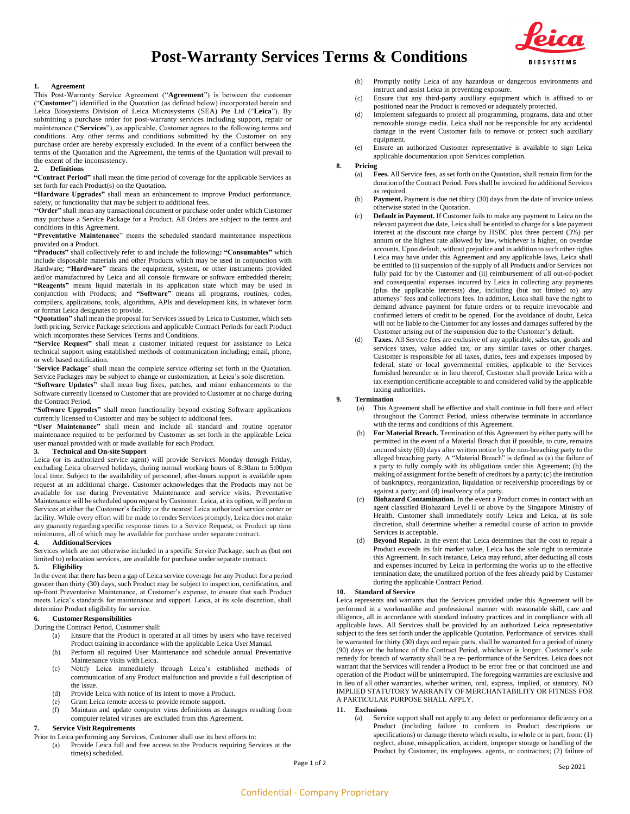



## **1. Agreement**

This Post-Warranty Service Agreement ("**Agreement**") is between the customer ("**Customer**") identified in the Quotation (as defined below) incorporated herein and Leica Biosystems Division of Leica Microsystems (SEA) Pte Ltd ("**Leica**"). By submitting a purchase order for post-warranty services including support, repair or maintenance ("**Services**"), as applicable, Customer agrees to the following terms and conditions. Any other terms and conditions submitted by the Customer on any purchase order are hereby expressly excluded. In the event of a conflict between the terms of the Quotation and the Agreement, the terms of the Quotation will prevail to the extent of the inconsistency.

#### **2. Definitions**

**"Contract Period"** shall mean the time period of coverage for the applicable Services as set forth for each Product(s) on the Quotation.

**"Hardware Upgrades"** shall mean an enhancement to improve Product performance, safety, or functionality that may be subject to additional fees.

**''Order"** shall mean any transactional document or purchase order under which Customer may purchase a Service Package for a Product. All Orders are subject to the terms and conditions in this Agreement.

**"Preventative Maintenance**" means the scheduled standard maintenance inspections provided on a Product.

**"Products"** shall collectively refer to and include the following**: "Consumables"** which include disposable materials and other Products which may be used in conjunction with Hardware; **"Hardware"** means the equipment, system, or other instruments provided and/or manufactured by Leica and all console firmware or software embedded therein; **"Reagents"** means liquid materials in its application state which may be used in conjunction with Products; and **"Software"** means all programs, routines, codes, compilers, applications, tools, algorithms, APIs and development kits, in whatever form or format Leica designates to provide.

**"Quotation"** shall mean the proposal for Services issued by Leica to Customer, which sets forth pricing, Service Package selections and applicable Contract Periods for each Product which incorporates these Services Terms and Conditions.

**"Service Request"** shall mean a customer initiated request for assistance to Leica technical support using established methods of communication including; email, phone, or web based notification.

"**Service Package**" shall mean the complete service offering set forth in the Quotation. Service Packages may be subject to change or customization, at Leica's sole discretion.

**"Software Updates"** shall mean bug fixes, patches, and minor enhancements to the Software currently licensed to Customer that are provided to Customer at no charge during the Contract Period.

**"Software Upgrades"** shall mean functionality beyond existing Software applications currently licensed to Customer and may be subject to additional fees.

**"User Maintenance"** shall mean and include all standard and routine operator maintenance required to be performed by Customer as set forth in the applicable Leica user manual provided with or made available for each Product.

# **3. Technical and On-site Support**

Leica (or its authorized service agent) will provide Services Monday through Friday, excluding Leica observed holidays, during normal working hours of 8:30am to 5:00pm local time. Subject to the availability of personnel, after-hours support is available upon request at an additional charge. Customer acknowledges that the Products may not be available for use during Preventative Maintenance and service visits. Preventative Maintenance will be scheduled upon request by Customer. Leica, at its option, will perform Services at either the Customer's facility or the nearest Leica authorized service center or facility. While every effort will be made to render Services promptly, Leica does not make any guaranty regarding specific response times to a Service Request, or Product up time minimums, all of which may be available for purchase under separate contract.

## **4. AdditionalServices**

Services which are not otherwise included in a specific Service Package, such as (but not limited to) relocation services, are available for purchase under separate contract. **5. Eligibility**

In the event that there has been a gap of Leica service coverage for any Product for a period greater than thirty (30) days, such Product may be subject to inspection, certification, and up-front Preventative Maintenance, at Customer's expense, to ensure that such Product meets Leica's standards for maintenance and support. Leica, at its sole discretion, shall determine Product eligibility for service.

## **6. Customer Responsibilities**

During the Contract Period, Customer shall:

(a) Ensure that the Product is operated at all times by users who have received Product training in accordance with the applicable Leica UserManual.

- (b) Perform all required User Maintenance and schedule annual Preventative Maintenance visits withLeica.
- (c) Notify Leica immediately through Leica's established methods of communication of any Product malfunction and provide a full description of the issue.
- (d) Provide Leica with notice of its intent to move a Product.
- (e) Grant Leica remote access to provide remote support.<br>(f) Maintain and undate computer virus definitions as d

Maintain and update computer virus definitions as damages resulting from computer related viruses are excluded from this Agreement.

# **7. Service Visit Requirements**

Prior to Leica performing any Services, Customer shall use its best efforts to:

(a) Provide Leica full and free access to the Products requiring Services at the time(s) scheduled.

(b) Promptly notify Leica of any hazardous or dangerous environments and instruct and assist Leica in preventing exposure.

- (c) Ensure that any third-party auxiliary equipment which is affixed to or positioned near the Product is removed or adequately protected.
- (d) Implement safeguards to protect all programming, programs, data and other removable storage media. Leica shall not be responsible for any accidental damage in the event Customer fails to remove or protect such auxiliary equipment.
- (e) Ensure an authorized Customer representative is available to sign Leica applicable documentation upon Services completion.

#### **8. Pricing**

- (a) **Fees.** All Service fees, as set forth on the Quotation, shall remain firm for the duration ofthe Contract Period. Fees shall be invoiced for additional Services as required.
- (b) **Payment.** Payment is due net thirty (30) days from the date of invoice unless otherwise stated in the Quotation.
- (c) **Default in Payment.** If Customer fails to make any payment to Leica on the relevant payment due date, Leica shall be entitled to charge for a late payment interest at the discount rate charge by HSBC plus three percent (3%) per annum or the highest rate allowed by law, whichever is higher, on overdue accounts. Upon default, without prejudice and in addition to such other rights Leica may have under this Agreement and any applicable laws, Leica shall be entitled to (i) suspension of the supply of all Products and/or Services not fully paid for by the Customer and (ii) reimbursement of all out-of-pocket and consequential expenses incurred by Leica in collecting any payments (plus the applicable interests) due, including (but not limited to) any attorneys' fees and collections fees. In addition, Leica shall have the right to demand advance payment for future orders or to require irrevocable and confirmed letters of credit to be opened. For the avoidance of doubt, Leica will not be liable to the Customer for any losses and damages suffered by the Customer arising out of the suspension due to the Customer's default.
- (d) **Taxes.** All Service fees are exclusive of any applicable, sales tax, goods and services taxes, value added tax, or any similar taxes or other charges. Customer is responsible for all taxes, duties, fees and expenses imposed by federal, state or local governmental entities, applicable to the Services furnished hereunder or in lieu thereof, Customer shall provide Leica with a tax exemption certificate acceptable to and considered valid by the applicable taxing authorities.

#### **9. Termination**

- (a) This Agreement shall be effective and shall continue in full force and effect throughout the Contract Period, unless otherwise terminate in accordance with the terms and conditions of this Agreement.
- (b) **For Material Breach.** Termination of this Agreement by either party will be permitted in the event of a Material Breach that if possible, to cure, remains uncured sixty (60) days after written notice by the non-breaching party to the alleged breaching party. A "Material Breach" is defined as (a) the failure of a party to fully comply with its obligations under this Agreement; (b) the making of assignment for the benefit of creditors by a party; (c) the institution of bankruptcy, reorganization, liquidation or receivership proceedings by or against a party; and (d) insolvency of a party.
- (c) **Biohazard Contamination.** In the event a Product comes in contact with an agent classified Biohazard Level II or above by the Singapore Ministry of Health. Customer shall immediately notify Leica and Leica, at its sole discretion, shall determine whether a remedial course of action to provide Services is acceptable.
- (d) **Beyond Repair.** In the event that Leica determines that the cost to repair a Product exceeds its fair market value, Leica has the sole right to terminate this Agreement. In such instance, Leica may refund, after deducting all costs and expenses incurred by Leica in performing the works up to the effective termination date, the unutilized portion of the fees already paid by Customer during the applicable Contract Period.

#### **10. Standard of Service**

Leica represents and warrants that the Services provided under this Agreement will be performed in a workmanlike and professional manner with reasonable skill, care and diligence, all in accordance with standard industry practices and in compliance with all applicable laws. All Services shall be provided by an authorized Leica representative subject to the fees set forth under the applicable Quotation. Performance of services shall be warranted for thirty (30) days and repair parts, shall be warranted for a period of ninety (90) days or the balance of the Contract Period, whichever is longer. Customer's sole remedy for breach of warranty shall be a re- performance of the Services. Leica does not warrant that the Services will render a Product to be error free or that continued use and operation of the Product will be uninterrupted. The foregoing warranties are exclusive and in lieu of all other warranties, whether written, oral, express, implied, or statutory. NO IMPLIED STATUTORY WARRANTY OF MERCHANTABILITY OR FITNESS FOR A PARTICULAR PURPOSE SHALL APPLY.

#### **11. Exclusions**

(a) Service support shall not apply to any defect or performance deficiency on a Product (including failure to conform to Product descriptions or specifications) or damage thereto which results, in whole or in part, from: (1) neglect, abuse, misapplication, accident, improper storage or handling of the Product by Customer, its employees, agents, or contractors; (2) failure of

Page 1 of 2 Sep 2021